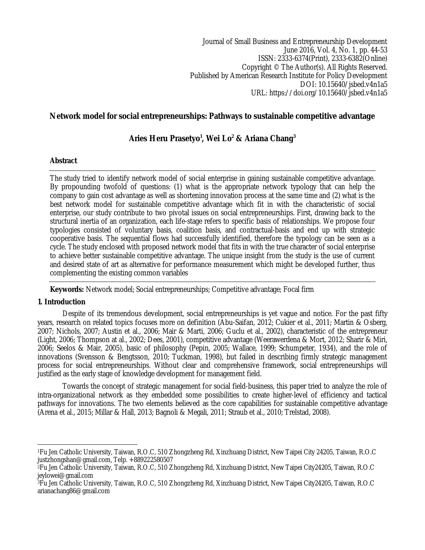Journal of Small Business and Entrepreneurship Development June 2016, Vol. 4, No. 1, pp. 44-53 ISSN: 2333-6374(Print), 2333-6382(Online) Copyright © The Author(s). All Rights Reserved. Published by American Research Institute for Policy Development DOI: 10.15640/jsbed.v4n1a5 URL: https://doi.org/10.15640/jsbed.v4n1a5

# **Network model for social entrepreneurships: Pathways to sustainable competitive advantage**

# **Aries Heru Prasetyo<sup>1</sup> , Wei Lo<sup>2</sup> & Ariana Chang<sup>3</sup>**

# **Abstract**

The study tried to identify network model of social enterprise in gaining sustainable competitive advantage. By propounding twofold of questions: (1) what is the appropriate network typology that can help the company to gain cost advantage as well as shortening innovation process at the same time and (2) what is the best network model for sustainable competitive advantage which fit in with the characteristic of social enterprise, our study contribute to two pivotal issues on social entrepreneurships. First, drawing back to the structural inertia of an organization, each life-stage refers to specific basis of relationships. We propose four typologies consisted of voluntary basis, coalition basis, and contractual-basis and end up with strategic cooperative basis. The sequential flows had successfully identified, therefore the typology can be seen as a cycle. The study enclosed with proposed network model that fits in with the true character of social enterprise to achieve better sustainable competitive advantage. The unique insight from the study is the use of current and desired state of art as alternative for performance measurement which might be developed further, thus complementing the existing common variables

**Keywords:** Network model; Social entrepreneurships; Competitive advantage; Focal firm

# **1. Introduction**

Despite of its tremendous development, social entrepreneurships is yet vague and notice. For the past fifty years, research on related topics focuses more on definition (Abu-Saifan, 2012; Cukier et al., 2011; Martin & Osberg, 2007; Nichols, 2007; Austin et al., 2006; Mair & Marti, 2006; Guclu et al., 2002), characteristic of the entrepreneur (Light, 2006; Thompson at al., 2002; Dees, 2001), competitive advantage (Weerawerdena & Mort, 2012; Sharir & Miri, 2006; Seelos & Mair, 2005), basic of philosophy (Pepin, 2005; Wallace, 1999; Schumpeter, 1934), and the role of innovations (Svensson & Bengtsson, 2010; Tuckman, 1998), but failed in describing firmly strategic management process for social entrepreneurships. Without clear and comprehensive framework, social entrepreneurships will justified as the early stage of knowledge development for management field.

Towards the concept of strategic management for social field-business, this paper tried to analyze the role of intra-organizational network as they embedded some possibilities to create higher-level of efficiency and tactical pathways for innovations. The two elements believed as the core capabilities for sustainable competitive advantage (Arena et al., 2015; Millar & Hall, 2013; Bagnoli & Megali, 2011; Straub et al., 2010; Trelstad, 2008).

 $\overline{a}$ <sup>1</sup>Fu Jen Catholic University, Taiwan, R.O.C, 510 Zhongzheng Rd, Xinzhuang District, New Taipei City 24205, Taiwan, R.O.C justzhongshan@gmail.com, Telp. +889222580507

<sup>2</sup>Fu Jen Catholic University, Taiwan, R.O.C, 510 Zhongzheng Rd, Xinzhuang District, New Taipei City24205, Taiwan, R.O.C jeylowei@gmail.com

<sup>3</sup>Fu Jen Catholic University, Taiwan, R.O.C, 510 Zhongzheng Rd, Xinzhuang District, New Taipei City24205, Taiwan, R.O.C arianachang86@gmail.com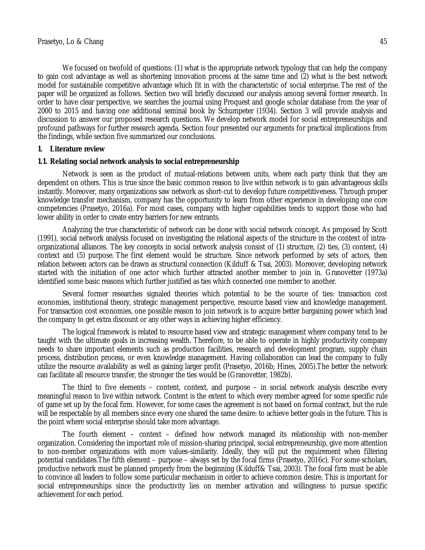We focused on twofold of questions: (1) what is the appropriate network typology that can help the company to gain cost advantage as well as shortening innovation process at the same time and (2) what is the best network model for sustainable competitive advantage which fit in with the characteristic of social enterprise. The rest of the paper will be organized as follows. Section two will briefly discussed our analysis among several former research. In order to have clear perspective, we searches the journal using Proquest and google scholar database from the year of 2000 to 2015 and having one additional seminal book by Schumpeter (1934). Section 3 will provide analysis and discussion to answer our proposed research questions. We develop network model for social entrepreneurships and profound pathways for further research agenda. Section four presented our arguments for practical implications from the findings, while section five summarized our conclusions.

### **1. Literature review**

#### **1.1. Relating social network analysis to social entrepreneurship**

Network is seen as the product of mutual-relations between units, where each party think that they are dependent on others. This is true since the basic common reason to live within network is to gain advantageous skills instantly. Moreover, many organizations saw network as short-cut to develop future competitiveness. Through proper knowledge transfer mechanism, company has the opportunity to learn from other experience in developing one core competencies (Prasetyo, 2016a). For most cases, company with higher capabilities tends to support those who had lower ability in order to create entry barriers for new entrants.

Analyzing the true characteristic of network can be done with social network concept. As proposed by Scott (1991), social network analysis focused on investigating the relational aspects of the structure in the context of intraorganizational alliances. The key concepts in social network analysis consist of (1) structure, (2) ties, (3) content, (4) context and (5) purpose. The first element would be structure. Since network performed by sets of actors, then relation between actors can be drawn as structural connection (Kilduff & Tsai, 2003). Moreover, developing network started with the initiation of one actor which further attracted another member to join in. Granovetter (1973a) identified some basic reasons which further justified as ties which connected one member to another.

Several former researches signaled theories which potential to be the source of ties: transaction cost economies, institutional theory, strategic management perspective, resource based view and knowledge management. For transaction cost economies, one possible reason to join network is to acquire better bargaining power which lead the company to get extra discount or any other ways in achieving higher efficiency.

The logical framework is related to resource based view and strategic management where company tend to be taught with the ultimate goals in increasing wealth. Therefore, to be able to operate in highly productivity company needs to share important elements such as production facilities, research and development program, supply chain process, distribution process, or even knowledge management. Having collaboration can lead the company to fully utilize the resource availability as well as gaining larger profit (Prasetyo, 2016b; Hines, 2005).The better the network can facilitate all resource transfer, the stronger the ties would be (Granovetter, 1982b).

The third to five elements – content, context, and purpose – in social network analysis describe every meaningful reason to live within network. Content is the extent to which every member agreed for some specific rule of game set up by the focal firm. However, for some cases the agreement is not based on formal contract, but the rule will be respectable by all members since every one shared the same desire: to achieve better goals in the future. This is the point where social enterprise should take more advantage.

The fourth element – context – defined how network managed its relationship with non-member organization. Considering the important role of mission-sharing principal, social entrepreneurship, give more attention to non-member organizations with more values-similarity. Ideally, they will put the requirement when filtering potential candidates.The fifth element – purpose – always set by the focal firms (Prasetyo, 2016c). For some scholars, productive network must be planned properly from the beginning (Kilduff& Tsai, 2003). The focal firm must be able to convince all leaders to follow some particular mechanism in order to achieve common desire. This is important for social entrepreneurships since the productivity lies on member activation and willingness to pursue specific achievement for each period.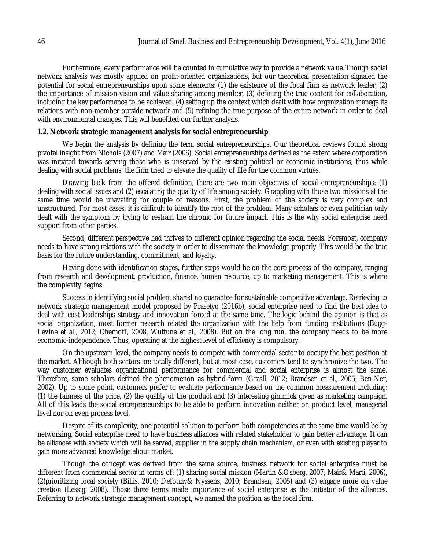Furthermore, every performance will be counted in cumulative way to provide a network value.Though social network analysis was mostly applied on profit-oriented organizations, but our theoretical presentation signaled the potential for social entrepreneurships upon some elements: (1) the existence of the focal firm as network leader, (2) the importance of mission-vision and value sharing among member, (3) defining the true content for collaboration, including the key performance to be achieved, (4) setting up the context which dealt with how organization manage its relations with non-member outside network and (5) refining the true purpose of the entire network in order to deal with environmental changes. This will benefited our further analysis.

#### **1.2. Network strategic management analysis for social entrepreneurship**

We begin the analysis by defining the term social entrepreneurships. Our theoretical reviews found strong pivotal insight from Nichols (2007) and Mair (2006). Social entrepreneurships defined as the extent where corporation was initiated towards serving those who is unserved by the existing political or economic institutions, thus while dealing with social problems, the firm tried to elevate the quality of life for the common virtues.

Drawing back from the offered definition, there are two main objectives of social entrepreneurships: (1) dealing with social issues and (2) escalating the quality of life among society. Grappling with those two missions at the same time would be unavailing for couple of reasons. First, the problem of the society is very complex and unstructured. For most cases, it is difficult to identify the root of the problem. Many scholars or even politician only dealt with the symptom by trying to restrain the chronic for future impact. This is the why social enterprise need support from other parties.

Second, different perspective had thrives to different opinion regarding the social needs. Foremost, company needs to have strong relations with the society in order to disseminate the knowledge properly. This would be the true basis for the future understanding, commitment, and loyalty.

Having done with identification stages, further steps would be on the core process of the company, ranging from research and development, production, finance, human resource, up to marketing management. This is where the complexity begins.

Success in identifying social problem shared no guarantee for sustainable competitive advantage. Retrieving to network strategic management model proposed by Prasetyo (2016b), social enterprise need to find the best idea to deal with cost leaderships strategy and innovation forced at the same time. The logic behind the opinion is that as social organization, most former research related the organization with the help from funding institutions (Bugg-Levine et al., 2012; Chernoff, 2008, Wuttune et al., 2008). But on the long run, the company needs to be more economic-independence. Thus, operating at the highest level of efficiency is compulsory.

On the upstream level, the company needs to compete with commercial sector to occupy the best position at the market. Although both sectors are totally different, but at most case, customers tend to synchronize the two. The way customer evaluates organizational performance for commercial and social enterprise is almost the same. Therefore, some scholars defined the phenomenon as hybrid-form (Grasll, 2012; Brandsen et al., 2005; Ben-Ner, 2002). Up to some point, customers prefer to evaluate performance based on the common measurement including: (1) the fairness of the price, (2) the quality of the product and (3) interesting gimmick given as marketing campaign. All of this leads the social entrepreneurships to be able to perform innovation neither on product level, managerial level nor on even process level.

Despite of its complexity, one potential solution to perform both competencies at the same time would be by networking. Social enterprise need to have business alliances with related stakeholder to gain better advantage. It can be alliances with society which will be served, supplier in the supply chain mechanism, or even with existing player to gain more advanced knowledge about market.

Though the concept was derived from the same source, business network for social enterprise must be different from commercial sector in terms of: (1) sharing social mission (Martin &Osberg, 2007; Mair& Marti, 2006), (2)prioritizing local society (Billis, 2010; Defouny& Nyssens, 2010; Brandsen, 2005) and (3) engage more on value creation (Lessig, 2008). Those three terms made importance of social enterprise as the initiator of the alliances. Referring to network strategic management concept, we named the position as the focal firm.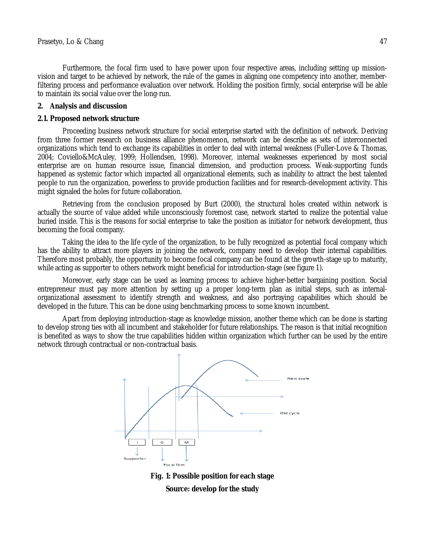Furthermore, the focal firm used to have power upon four respective areas, including setting up missionvision and target to be achieved by network, the rule of the games in aligning one competency into another, memberfiltering process and performance evaluation over network. Holding the position firmly, social enterprise will be able to maintain its social value over the long-run.

#### **2. Analysis and discussion**

#### **2.1. Proposed network structure**

Proceeding business network structure for social enterprise started with the definition of network. Deriving from three former research on business alliance phenomenon, network can be describe as sets of interconnected organizations which tend to exchange its capabilities in order to deal with internal weakness (Fuller-Love & Thomas, 2004; Coviello&McAuley, 1999; Hollendsen, 1998). Moreover, internal weaknesses experienced by most social enterprise are on human resource issue, financial dimension, and production process. Weak-supporting funds happened as systemic factor which impacted all organizational elements, such as inability to attract the best talented people to run the organization, powerless to provide production facilities and for research-development activity. This might signaled the holes for future collaboration.

Retrieving from the conclusion proposed by Burt (2000), the structural holes created within network is actually the source of value added while unconsciously foremost case, network started to realize the potential value buried inside. This is the reasons for social enterprise to take the position as initiator for network development, thus becoming the focal company.

Taking the idea to the life cycle of the organization, to be fully recognized as potential focal company which has the ability to attract more players in joining the network, company need to develop their internal capabilities. Therefore most probably, the opportunity to become focal company can be found at the growth-stage up to maturity, while acting as supporter to others network might beneficial for introduction-stage (see figure 1).

Moreover, early stage can be used as learning process to achieve higher-better bargaining position. Social entrepreneur must pay more attention by setting up a proper long-term plan as initial steps, such as internalorganizational assessment to identify strength and weakness, and also portraying capabilities which should be developed in the future. This can be done using benchmarking process to some known incumbent.

Apart from deploying introduction-stage as knowledge mission, another theme which can be done is starting to develop strong ties with all incumbent and stakeholder for future relationships. The reason is that initial recognition is benefited as ways to show the true capabilities hidden within organization which further can be used by the entire network through contractual or non-contractual basis.



**Fig. 1: Possible position for each stage Source: develop for the study**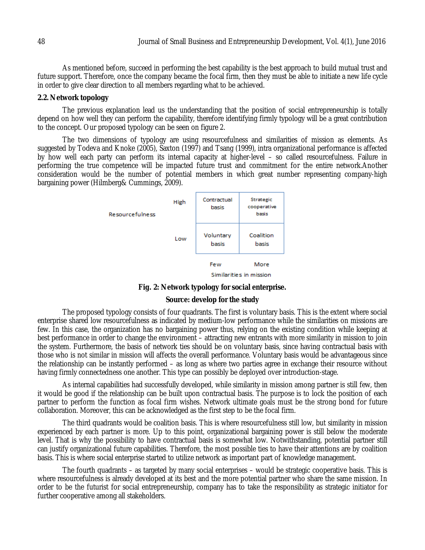As mentioned before, succeed in performing the best capability is the best approach to build mutual trust and future support. Therefore, once the company became the focal firm, then they must be able to initiate a new life cycle in order to give clear direction to all members regarding what to be achieved.

#### **2.2. Network topology**

The previous explanation lead us the understanding that the position of social entrepreneurship is totally depend on how well they can perform the capability, therefore identifying firmly typology will be a great contribution to the concept. Our proposed typology can be seen on figure 2.

The two dimensions of typology are using resourcefulness and similarities of mission as elements. As suggested by Todeva and Knoke (2005), Saxton (1997) and Tsang (1999), intra organizational performance is affected by how well each party can perform its internal capacity at higher-level – so called resourcefulness. Failure in performing the true competence will be impacted future trust and commitment for the entire network.Another consideration would be the number of potential members in which great number representing company-high bargaining power (Hilmberg& Cummings, 2009).



**Fig. 2: Network typology for social enterprise.**

# **Source: develop for the study**

The proposed typology consists of four quadrants. The first is voluntary basis. This is the extent where social enterprise shared low resourcefulness as indicated by medium-low performance while the similarities on missions are few. In this case, the organization has no bargaining power thus, relying on the existing condition while keeping at best performance in order to change the environment – attracting new entrants with more similarity in mission to join the system. Furthermore, the basis of network ties should be on voluntary basis, since having contractual basis with those who is not similar in mission will affects the overall performance. Voluntary basis would be advantageous since the relationship can be instantly performed – as long as where two parties agree in exchange their resource without having firmly connectedness one another. This type can possibly be deployed over introduction-stage.

As internal capabilities had successfully developed, while similarity in mission among partner is still few, then it would be good if the relationship can be built upon contractual basis. The purpose is to lock the position of each partner to perform the function as focal firm wishes. Network ultimate goals must be the strong bond for future collaboration. Moreover, this can be acknowledged as the first step to be the focal firm.

The third quadrants would be coalition basis. This is where resourcefulness still low, but similarity in mission experienced by each partner is more. Up to this point, organizational bargaining power is still below the moderate level. That is why the possibility to have contractual basis is somewhat low. Notwithstanding, potential partner still can justify organizational future capabilities. Therefore, the most possible ties to have their attentions are by coalition basis. This is where social enterprise started to utilize network as important part of knowledge management.

The fourth quadrants – as targeted by many social enterprises – would be strategic cooperative basis. This is where resourcefulness is already developed at its best and the more potential partner who share the same mission. In order to be the futurist for social entrepreneurship, company has to take the responsibility as strategic initiator for further cooperative among all stakeholders.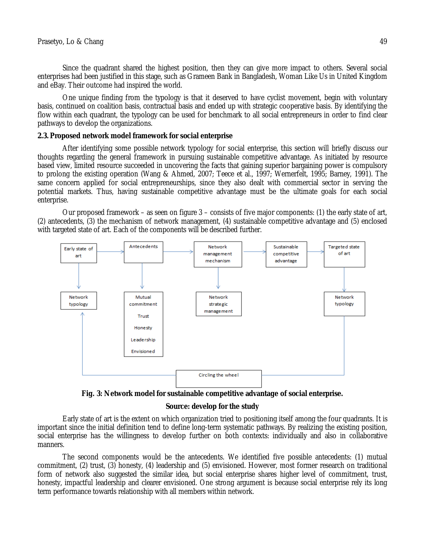Since the quadrant shared the highest position, then they can give more impact to others. Several social enterprises had been justified in this stage, such as Grameen Bank in Bangladesh, Woman Like Us in United Kingdom and eBay. Their outcome had inspired the world.

One unique finding from the typology is that it deserved to have cyclist movement, begin with voluntary basis, continued on coalition basis, contractual basis and ended up with strategic cooperative basis. By identifying the flow within each quadrant, the typology can be used for benchmark to all social entrepreneurs in order to find clear pathways to develop the organizations.

#### **2.3. Proposed network model framework for social enterprise**

After identifying some possible network typology for social enterprise, this section will briefly discuss our thoughts regarding the general framework in pursuing sustainable competitive advantage. As initiated by resource based view, limited resource succeeded in uncovering the facts that gaining superior bargaining power is compulsory to prolong the existing operation (Wang & Ahmed, 2007; Teece et al., 1997; Wernerfelt, 1995; Barney, 1991). The same concern applied for social entrepreneurships, since they also dealt with commercial sector in serving the potential markets. Thus, having sustainable competitive advantage must be the ultimate goals for each social enterprise.

Our proposed framework – as seen on figure 3 – consists of five major components: (1) the early state of art, (2) antecedents, (3) the mechanism of network management, (4) sustainable competitive advantage and (5) enclosed with targeted state of art. Each of the components will be described further.



**Fig. 3: Network model for sustainable competitive advantage of social enterprise.**

## **Source: develop for the study**

Early state of art is the extent on which organization tried to positioning itself among the four quadrants. It is important since the initial definition tend to define long-term systematic pathways. By realizing the existing position, social enterprise has the willingness to develop further on both contexts: individually and also in collaborative manners.

The second components would be the antecedents. We identified five possible antecedents: (1) mutual commitment, (2) trust, (3) honesty, (4) leadership and (5) envisioned. However, most former research on traditional form of network also suggested the similar idea, but social enterprise shares higher level of commitment, trust, honesty, impactful leadership and clearer envisioned. One strong argument is because social enterprise rely its long term performance towards relationship with all members within network.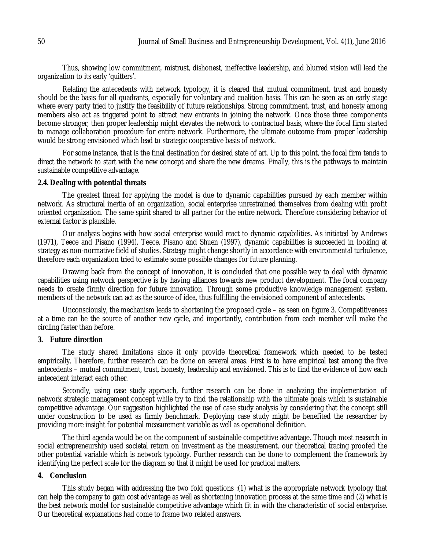Thus, showing low commitment, mistrust, dishonest, ineffective leadership, and blurred vision will lead the organization to its early 'quitters'.

Relating the antecedents with network typology, it is cleared that mutual commitment, trust and honesty should be the basis for all quadrants, especially for voluntary and coalition basis. This can be seen as an early stage where every party tried to justify the feasibility of future relationships. Strong commitment, trust, and honesty among members also act as triggered point to attract new entrants in joining the network. Once those three components become stronger, then proper leadership might elevates the network to contractual basis, where the focal firm started to manage collaboration procedure for entire network. Furthermore, the ultimate outcome from proper leadership would be strong envisioned which lead to strategic cooperative basis of network.

For some instance, that is the final destination for desired state of art. Up to this point, the focal firm tends to direct the network to start with the new concept and share the new dreams. Finally, this is the pathways to maintain sustainable competitive advantage.

## **2.4.Dealing with potential threats**

The greatest threat for applying the model is due to dynamic capabilities pursued by each member within network. As structural inertia of an organization, social enterprise unrestrained themselves from dealing with profit oriented organization. The same spirit shared to all partner for the entire network. Therefore considering behavior of external factor is plausible.

Our analysis begins with how social enterprise would react to dynamic capabilities. As initiated by Andrews (1971), Teece and Pisano (1994), Teece, Pisano and Shuen (1997), dynamic capabilities is succeeded in looking at strategy as non-normative field of studies. Strategy might change shortly in accordance with environmental turbulence, therefore each organization tried to estimate some possible changes for future planning.

Drawing back from the concept of innovation, it is concluded that one possible way to deal with dynamic capabilities using network perspective is by having alliances towards new product development. The focal company needs to create firmly direction for future innovation. Through some productive knowledge management system, members of the network can act as the source of idea, thus fulfilling the envisioned component of antecedents.

Unconsciously, the mechanism leads to shortening the proposed cycle – as seen on figure 3. Competitiveness at a time can be the source of another new cycle, and importantly, contribution from each member will make the circling faster than before.

## **3. Future direction**

The study shared limitations since it only provide theoretical framework which needed to be tested empirically. Therefore, further research can be done on several areas. First is to have empirical test among the five antecedents – mutual commitment, trust, honesty, leadership and envisioned. This is to find the evidence of how each antecedent interact each other.

Secondly, using case study approach, further research can be done in analyzing the implementation of network strategic management concept while try to find the relationship with the ultimate goals which is sustainable competitive advantage. Our suggestion highlighted the use of case study analysis by considering that the concept still under construction to be used as firmly benchmark. Deploying case study might be benefited the researcher by providing more insight for potential measurement variable as well as operational definition.

The third agenda would be on the component of sustainable competitive advantage. Though most research in social entrepreneurship used societal return on investment as the measurement, our theoretical tracing proofed the other potential variable which is network typology. Further research can be done to complement the framework by identifying the perfect scale for the diagram so that it might be used for practical matters.

#### **4. Conclusion**

This study began with addressing the two fold questions :(1) what is the appropriate network typology that can help the company to gain cost advantage as well as shortening innovation process at the same time and (2) what is the best network model for sustainable competitive advantage which fit in with the characteristic of social enterprise. Our theoretical explanations had come to frame two related answers.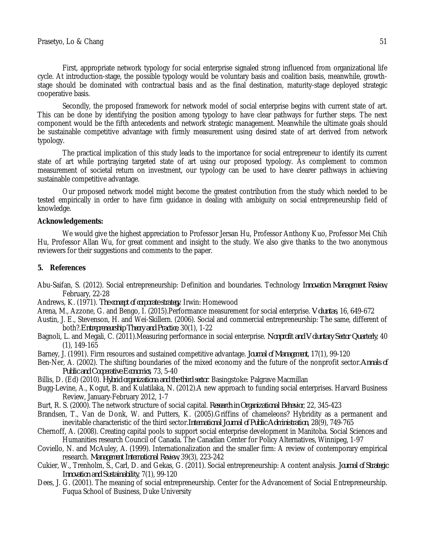First, appropriate network typology for social enterprise signaled strong influenced from organizational life cycle. At introduction-stage, the possible typology would be voluntary basis and coalition basis, meanwhile, growthstage should be dominated with contractual basis and as the final destination, maturity-stage deployed strategic cooperative basis.

Secondly, the proposed framework for network model of social enterprise begins with current state of art. This can be done by identifying the position among typology to have clear pathways for further steps. The next component would be the fifth antecedents and network strategic management. Meanwhile the ultimate goals should be sustainable competitive advantage with firmly measurement using desired state of art derived from network typology.

The practical implication of this study leads to the importance for social entrepreneur to identify its current state of art while portraying targeted state of art using our proposed typology. As complement to common measurement of societal return on investment, our typology can be used to have clearer pathways in achieving sustainable competitive advantage.

Our proposed network model might become the greatest contribution from the study which needed to be tested empirically in order to have firm guidance in dealing with ambiguity on social entrepreneurship field of knowledge.

## **Acknowledgements:**

We would give the highest appreciation to Professor Jersan Hu, Professor Anthony Kuo, Professor Mei Chih Hu, Professor Allan Wu, for great comment and insight to the study. We also give thanks to the two anonymous reviewers for their suggestions and comments to the paper.

# **5. References**

- Abu-Saifan, S. (2012). Social entrepreneurship: Definition and boundaries. Technology *Innovation Management Review*, February, 22-28
- Andrews, K. (1971). *The concept of corporate strategy*. Irwin: Homewood
- Arena, M., Azzone, G. and Bengo, I. (2015).Performance measurement for social enterprise. *Voluntas*, 16, 649-672
- Austin, J. E., Stevenson, H. and Wei-Skillern. (2006). Social and commercial entrepreneurship: The same, different of both?.*Entrepreneurship Theory and Practice*, 30(1), 1-22
- Bagnoli, L. and Megali, C. (2011).Measuring performance in social enterprise. *Nonprofit and Voluntary Sector Quarterly*, 40 (1), 149-165
- Barney, J. (1991). Firm resources and sustained competitive advantage. *Journal of Management*, 17(1), 99-120
- Ben-Ner, A. (2002). The shifting boundaries of the mixed economy and the future of the nonprofit sector.*Annals of Public and Cooperative Economics*, 73, 5-40
- Billis, D. (Ed) (2010). *Hybrid organizationa and the third sector*. Basingstoke: Palgrave Macmillan
- Bugg-Levine, A., Kogut, B. and Kulatilaka, N. (2012).A new approach to funding social enterprises. Harvard Business Review, January-February 2012, 1-7
- Burt, R. S. (2000). The network structure of social capital. *Research in Organizational Behavior*, 22, 345-423
- Brandsen, T., Van de Donk, W. and Putters, K. (2005).Griffins of chameleons? Hybridity as a permanent and inevitable characteristic of the third sector.*International Journal of Public Administration*, 28(9), 749-765
- Chernoff, A. (2008). Creating capital pools to support social enterprise development in Manitoba. Social Sciences and Humanities research Council of Canada. The Canadian Center for Policy Alternatives, Winnipeg, 1-97
- Coviello, N. and McAuley, A. (1999). Internationalization and the smaller firm: A review of contemporary empirical research. *Management International Review*, 39(3), 223-242
- Cukier, W., Trenholm, S., Carl, D. and Gekas, G. (2011). Social entrepreneurship: A content analysis. *Journal of Strategic Innovation and Sustainability*, 7(1), 99-120
- Dees, J. G. (2001). The meaning of social entrepreneurship. Center for the Advancement of Social Entrepreneurship. Fuqua School of Business, Duke University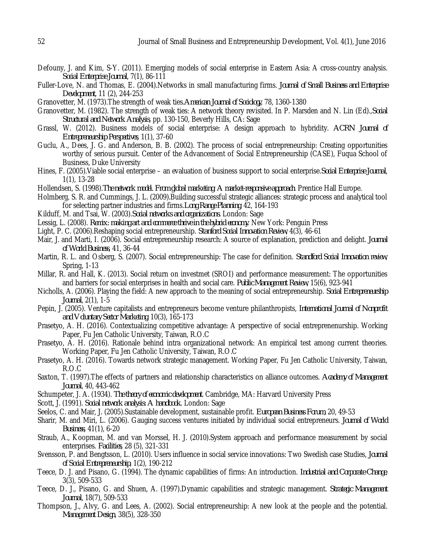- Defouny, J. and Kim, S-Y. (2011). Emerging models of social enterprise in Eastern Asia: A cross-country analysis. *Social Enterprise Journal*, 7(1), 86-111
- Fuller-Love, N. and Thomas, E. (2004).Networks in small manufacturing firms. *Journal of Small Business and Enterprise Development*, 11 (2), 244-253
- Granovetter, M. (1973).The strength of weak ties.*American Journal of Sociology*, 78, 1360-1380
- Granovetter, M. (1982). The strength of weak ties: A network theory revisited. In P. Marsden and N. Lin (Ed).,*Social Structural and Network Analysis*, pp. 130-150, Beverly Hills, CA: Sage
- Grassl, W. (2012). Business models of social enterprise: A design approach to hybridity. *ACRN Journal of Entrepreneurship Perspectives*, 1(1), 37-60
- Guclu, A., Dees, J. G. and Anderson, B. B. (2002). The process of social entrepreneurship: Creating opportunities worthy of serious pursuit. Center of the Advancement of Social Entrepreneurship (CASE), Fuqua School of Business, Duke University
- Hines, F. (2005).Viable social enterprise an evaluation of business support to social enterprise.*Social Enterprise Journal*, 1(1), 13-28
- Hollendsen, S. (1998).*The network model. From global marketing: A market-responsive approach*. Prentice Hall Europe.
- Holmberg, S. R. and Cummings, J. L. (2009).Building successful strategic alliances: strategic process and analytical tool for selecting partner industries and firms.*Long Range Planning*, 42, 164-193
- Kilduff, M. and Tsai, W. (2003).*Social networks and organizations.* London: Sage
- Lessig, L. (2008). *Remix: making art and commerce thrive in the hybrid economy*. New York: Penguin Press
- Light, P. C. (2006).Reshaping social entrepreneurship. *Stanford Social Innovation Review*, 4(3), 46-61
- Mair, J. and Marti, I. (2006). Social entrepreneurship research: A source of explanation, prediction and delight. *Journal of World Business*, 41, 36-44
- Martin, R. L. and Osberg, S. (2007). Social entrepreneurship: The case for definition. *Standford Social Innovation review*, Spring, 1-13
- Millar, R. and Hall, K. (2013). Social return on investmet (SROI) and performance measurement: The opportunities and barriers for social enterprises in health and social care. *Public Management Review*, 15(6), 923-941
- Nicholls, A. (2006). Playing the field: A new approach to the meaning of social entrepreneurship. *Social Entrepreneurship Journal*, 2(1), 1-5
- Pepin, J. (2005). Venture capitalists and entrepreneurs become venture philanthropists, *International Journal of Nonprofit and Voluntary Sector Marketing*, 10(3), 165-173
- Prasetyo, A. H. (2016). Contextualizing competitive advantage: A perspective of social entreprenenurship. Working Paper, Fu Jen Catholic University, Taiwan, R.O.C
- Prasetyo, A. H. (2016). Rationale behind intra organizational network: An empirical test among current theories. Working Paper, Fu Jen Catholic University, Taiwan, R.O.C
- Prasetyo, A. H. (2016). Towards network strategic management. Working Paper, Fu Jen Catholic University, Taiwan, R.O.C
- Saxton, T. (1997).The effects of partners and relationship characteristics on alliance outcomes. *Academy of Management Journal*, 40, 443-462
- Schumpeter, J. A. (1934). *The theory of economic development*. Cambridge, MA: Harvard University Press
- Scott, J. (1991). *Social network analysis: A handbook*. London: Sage
- Seelos, C. and Mair, J. (2005).Sustainable development, sustainable profit. *European Business Forum*, 20, 49-53
- Sharir, M. and Miri, L. (2006). Gauging success ventures initiated by individual social entrepreneurs. *Journal of World Business*, 41(1), 6-20
- Straub, A., Koopman, M. and van Morssel, H. J. (2010).System approach and performance measurement by social enterprises. *Facilities*, 28 (5), 321-331
- Svensson, P. and Bengtsson, L. (2010). Users influence in social service innovations: Two Swedish case Studies, *Journal of Social Entrepreneurship*, 1(2), 190-212
- Teece, D. J. and Pisano, G. (1994). The dynamic capabilities of firms: An introduction. *Industrial and Corporate Change*, 3(3), 509-533
- Teece, D. J., Pisano, G. and Shuen, A. (1997).Dynamic capabilities and strategic management. *Strategic Management Journal*, 18(7), 509-533
- Thompson, J., Alvy, G. and Lees, A. (2002). Social entrepreneurship: A new look at the people and the potential. *Management Design*, 38(5), 328-350